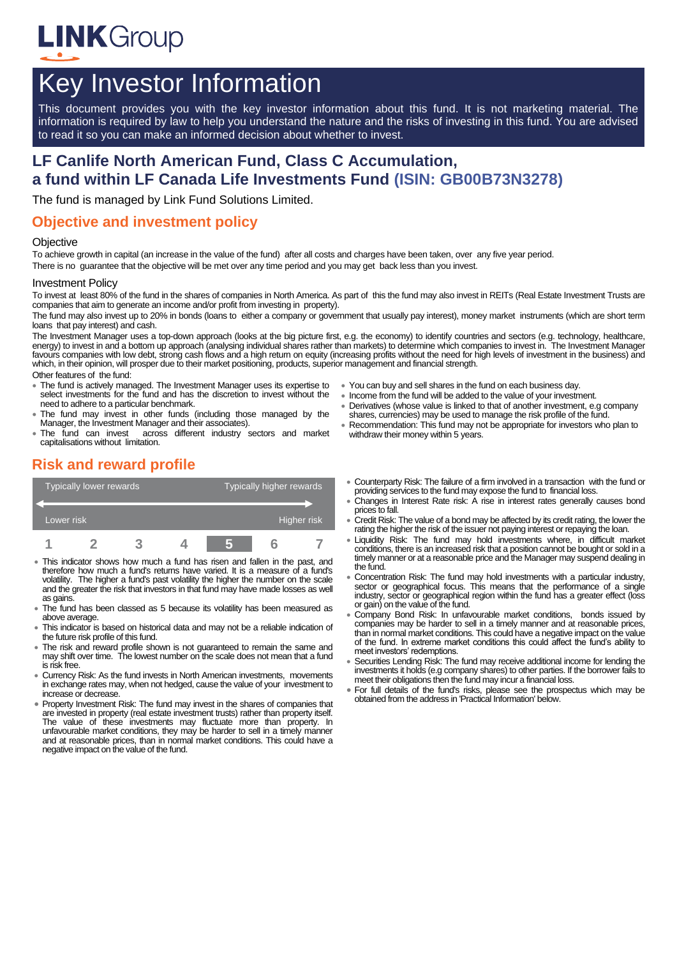

# Key Investor Information

This document provides you with the key investor information about this fund. It is not marketing material. The information is required by law to help you understand the nature and the risks of investing in this fund. You are advised to read it so you can make an informed decision about whether to invest.

# **LF Canlife North American Fund, Class C Accumulation, a fund within LF Canada Life Investments Fund (ISIN: GB00B73N3278)**

The fund is managed by Link Fund Solutions Limited.

### **Objective and investment policy**

#### **Objective**

To achieve growth in capital (an increase in the value of the fund) after all costs and charges have been taken, over any five year period. There is no guarantee that the objective will be met over any time period and you may get back less than you invest.

#### Investment Policy

To invest at least 80% of the fund in the shares of companies in North America. As part of this the fund may also invest in REITs (Real Estate Investment Trusts are companies that aim to generate an income and/or profit from investing in property).

The fund may also invest up to 20% in bonds (loans to either a company or government that usually pay interest), money market instruments (which are short term loans that pay interest) and cash.

The Investment Manager uses a top-down approach (looks at the big picture first, e.g. the economy) to identify countries and sectors (e.g. technology, healthcare,<br>energy) to invest in and a bottom up approach (analysing in favours companies with low debt, strong cash flows and a high return on equity (increasing profits without the need for high levels of investment in the business) and which, in their opinion, will prosper due to their market positioning, products, superior management and financial strength.

#### Other features of the fund:

- The fund is actively managed. The Investment Manager uses its expertise to select investments for the fund and has the discretion to invest without the need to adhere to a particular benchmark.
- The fund may invest in other funds (including those managed by the Manager, the Investment Manager and their associates).
- The fund can invest across different industry sectors and market capitalisations without limitation.
- You can buy and sell shares in the fund on each business day.
- Income from the fund will be added to the value of your investment. Derivatives (whose value is linked to that of another investment, e.g company
- shares, currencies) may be used to manage the risk profile of the fund.
- Recommendation: This fund may not be appropriate for investors who plan to withdraw their money within 5 years.

# **Risk and reward profile**



- This indicator shows how much a fund has risen and fallen in the past, and therefore how much a fund's returns have varied. It is a measure of a fund's volatility. The higher a fund's past volatility the higher the number on the scale and the greater the risk that investors in that fund may have made losses as well as gains.
- The fund has been classed as 5 because its volatility has been measured as above average
- This indicator is based on historical data and may not be a reliable indication of the future risk profile of this fund.
- The risk and reward profile shown is not guaranteed to remain the same and may shift over time. The lowest number on the scale does not mean that a fund is risk free.
- Currency Risk: As the fund invests in North American investments, movements in exchange rates may, when not hedged, cause the value of your investment to increase or decrease.
- Property Investment Risk: The fund may invest in the shares of companies that are invested in property (real estate investment trusts) rather than property itself. The value of these investments may fluctuate more than property. In unfavourable market conditions, they may be harder to sell in a timely manner and at reasonable prices, than in normal market conditions. This could have a negative impact on the value of the fund.
- Counterparty Risk: The failure of a firm involved in a transaction with the fund or providing services to the fund may expose the fund to financial loss.
- Changes in Interest Rate risk: A rise in interest rates generally causes bond prices to fall.
- Credit Risk: The value of a bond may be affected by its credit rating, the lower the rating the higher the risk of the issuer not paying interest or repaying the loan.
- Liquidity Risk: The fund may hold investments where, in difficult market conditions, there is an increased risk that a position cannot be bought or sold in a timely manner or at a reasonable price and the Manager may suspend dealing in the fund.
- Concentration Risk: The fund may hold investments with a particular industry, sector or geographical focus. This means that the performance of a single industry, sector or geographical region within the fund has a greater effect (loss or gain) on the value of the fund.
- Company Bond Risk: In unfavourable market conditions, bonds issued by companies may be harder to sell in a timely manner and at reasonable prices, than in normal market conditions. This could have a negative impact on the value of the fund. In extreme market conditions this could affect the fund's ability to meet investors' redemptions.
- Securities Lending Risk: The fund may receive additional income for lending the investments it holds (e.g company shares) to other parties. If the borrower fails to meet their obligations then the fund may incur a financial loss.
- For full details of the fund's risks, please see the prospectus which may be obtained from the address in 'Practical Information' below.